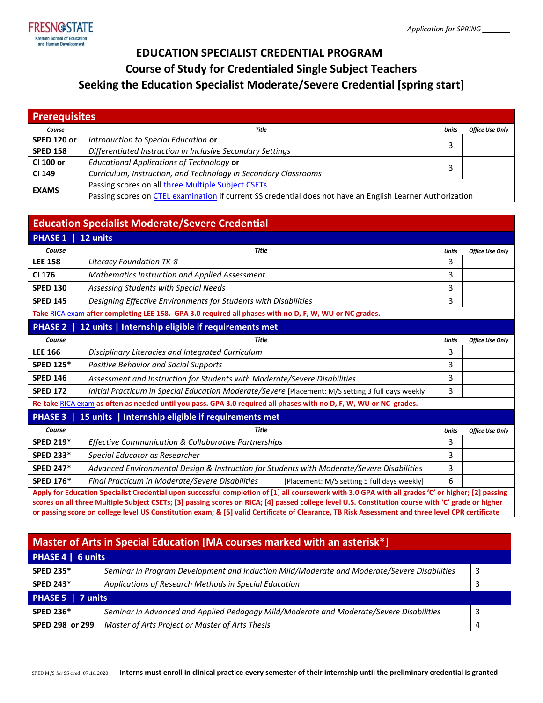

## **EDUCATION SPECIALIST CREDENTIAL PROGRAM Course of Study for Credentialed Single Subject Teachers Seeking the Education Specialist Moderate/Severe Credential [spring start]**

| <b>Prerequisites</b> |                                                                                                            |       |                 |  |  |
|----------------------|------------------------------------------------------------------------------------------------------------|-------|-----------------|--|--|
| Course               | Title                                                                                                      | Units | Office Use Only |  |  |
| SPED 120 or          | Introduction to Special Education or                                                                       |       |                 |  |  |
| <b>SPED 158</b>      | Differentiated Instruction in Inclusive Secondary Settings                                                 |       |                 |  |  |
| CI 100 or            | <b>Educational Applications of Technology or</b>                                                           |       |                 |  |  |
| CI 149               | Curriculum, Instruction, and Technology in Secondary Classrooms                                            |       |                 |  |  |
| <b>EXAMS</b>         | Passing scores on all three Multiple Subject CSETs                                                         |       |                 |  |  |
|                      | Passing scores on CTEL examination if current SS credential does not have an English Learner Authorization |       |                 |  |  |

| <b>Education Specialist Moderate/Severe Credential</b>                                                                                                                                                                                                                                                                                                                                                                                                       |                                                                                                   |              |                        |  |  |
|--------------------------------------------------------------------------------------------------------------------------------------------------------------------------------------------------------------------------------------------------------------------------------------------------------------------------------------------------------------------------------------------------------------------------------------------------------------|---------------------------------------------------------------------------------------------------|--------------|------------------------|--|--|
| PHASE 1   12 units                                                                                                                                                                                                                                                                                                                                                                                                                                           |                                                                                                   |              |                        |  |  |
| Course                                                                                                                                                                                                                                                                                                                                                                                                                                                       | <b>Title</b>                                                                                      | <b>Units</b> | <b>Office Use Only</b> |  |  |
| <b>LEE 158</b>                                                                                                                                                                                                                                                                                                                                                                                                                                               | <b>Literacy Foundation TK-8</b>                                                                   | 3            |                        |  |  |
| CI 176                                                                                                                                                                                                                                                                                                                                                                                                                                                       | <b>Mathematics Instruction and Applied Assessment</b>                                             | 3            |                        |  |  |
| <b>SPED 130</b>                                                                                                                                                                                                                                                                                                                                                                                                                                              | Assessing Students with Special Needs                                                             | 3            |                        |  |  |
| <b>SPED 145</b>                                                                                                                                                                                                                                                                                                                                                                                                                                              | Designing Effective Environments for Students with Disabilities                                   | 3            |                        |  |  |
| Take RICA exam after completing LEE 158. GPA 3.0 required all phases with no D, F, W, WU or NC grades.                                                                                                                                                                                                                                                                                                                                                       |                                                                                                   |              |                        |  |  |
|                                                                                                                                                                                                                                                                                                                                                                                                                                                              | PHASE 2   12 units   Internship eligible if requirements met                                      |              |                        |  |  |
| Course                                                                                                                                                                                                                                                                                                                                                                                                                                                       | <b>Title</b>                                                                                      | <b>Units</b> | <b>Office Use Only</b> |  |  |
| <b>LEE 166</b>                                                                                                                                                                                                                                                                                                                                                                                                                                               | Disciplinary Literacies and Integrated Curriculum                                                 | 3            |                        |  |  |
| <b>SPED 125*</b>                                                                                                                                                                                                                                                                                                                                                                                                                                             | <b>Positive Behavior and Social Supports</b>                                                      | 3            |                        |  |  |
| <b>SPED 146</b>                                                                                                                                                                                                                                                                                                                                                                                                                                              | Assessment and Instruction for Students with Moderate/Severe Disabilities                         | 3            |                        |  |  |
| <b>SPED 172</b>                                                                                                                                                                                                                                                                                                                                                                                                                                              | Initial Practicum in Special Education Moderate/Severe [Placement: M/S setting 3 full days weekly | 3            |                        |  |  |
| Re-take RICA exam as often as needed until you pass. GPA 3.0 required all phases with no D, F, W, WU or NC grades.                                                                                                                                                                                                                                                                                                                                           |                                                                                                   |              |                        |  |  |
|                                                                                                                                                                                                                                                                                                                                                                                                                                                              | <b>PHASE 3</b>   15 units   Internship eligible if requirements met                               |              |                        |  |  |
| Course                                                                                                                                                                                                                                                                                                                                                                                                                                                       | <b>Title</b>                                                                                      | <b>Units</b> | <b>Office Use Only</b> |  |  |
| <b>SPED 219*</b>                                                                                                                                                                                                                                                                                                                                                                                                                                             | <b>Effective Communication &amp; Collaborative Partnerships</b>                                   | 3            |                        |  |  |
| <b>SPED 233*</b>                                                                                                                                                                                                                                                                                                                                                                                                                                             | Special Educator as Researcher                                                                    | 3            |                        |  |  |
| <b>SPED 247*</b>                                                                                                                                                                                                                                                                                                                                                                                                                                             | Advanced Environmental Design & Instruction for Students with Moderate/Severe Disabilities        | 3            |                        |  |  |
| <b>SPED 176*</b>                                                                                                                                                                                                                                                                                                                                                                                                                                             | Final Practicum in Moderate/Severe Disabilities<br>[Placement: M/S setting 5 full days weekly]    | 6            |                        |  |  |
| Apply for Education Specialist Credential upon successful completion of [1] all coursework with 3.0 GPA with all grades 'C' or higher; [2] passing<br>scores on all three Multiple Subject CSETs; [3] passing scores on RICA; [4] passed college level U.S. Constitution course with 'C' grade or higher<br>or passing score on college level US Constitution exam; & [5] valid Certificate of Clearance, TB Risk Assessment and three level CPR certificate |                                                                                                   |              |                        |  |  |

| Master of Arts in Special Education [MA courses marked with an asterisk*] |                                                                                             |   |  |  |  |
|---------------------------------------------------------------------------|---------------------------------------------------------------------------------------------|---|--|--|--|
| PHASE 4   6 units                                                         |                                                                                             |   |  |  |  |
| <b>SPED 235*</b>                                                          | Seminar in Program Development and Induction Mild/Moderate and Moderate/Severe Disabilities | 3 |  |  |  |
| <b>SPED 243*</b>                                                          | Applications of Research Methods in Special Education                                       |   |  |  |  |
| PHASE 5   7 units                                                         |                                                                                             |   |  |  |  |
| <b>SPED 236*</b>                                                          | Seminar in Advanced and Applied Pedagogy Mild/Moderate and Moderate/Severe Disabilities     |   |  |  |  |
| SPED 298 or 299                                                           | Master of Arts Project or Master of Arts Thesis                                             | Д |  |  |  |